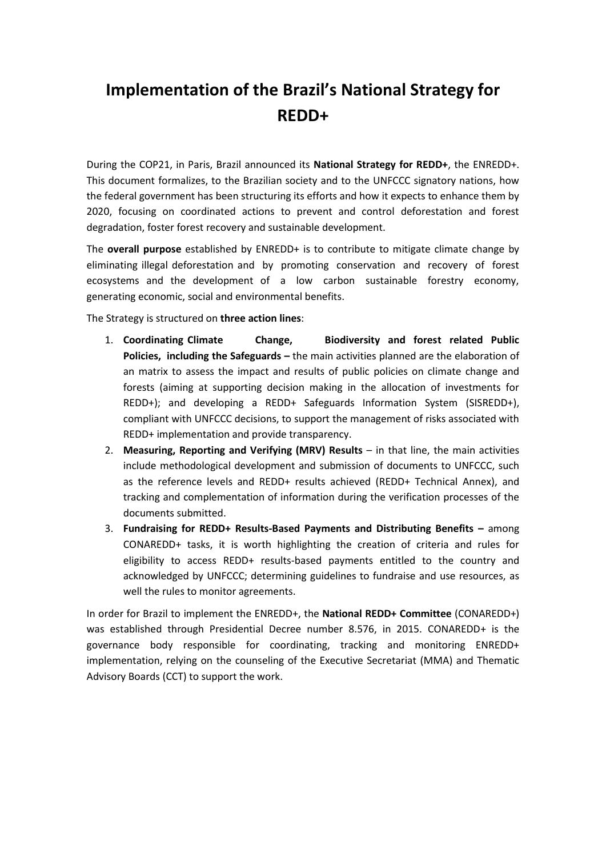# **Implementation of the Brazil's National Strategy for REDD+**

During the COP21, in Paris, Brazil announced its **National Strategy for REDD+**, the ENREDD+. This document formalizes, to the Brazilian society and to the UNFCCC signatory nations, how the federal government has been structuring its efforts and how it expects to enhance them by 2020, focusing on coordinated actions to prevent and control deforestation and forest degradation, foster forest recovery and sustainable development.

The **overall purpose** established by ENREDD+ is to contribute to mitigate climate change by eliminating illegal deforestation and by promoting conservation and recovery of forest ecosystems and the development of a low carbon sustainable forestry economy, generating economic, social and environmental benefits.

The Strategy is structured on **three action lines**:

- 1. **Coordinating Climate Change, Biodiversity and forest related Public Policies, including the Safeguards –** the main activities planned are the elaboration of an matrix to assess the impact and results of public policies on climate change and forests (aiming at supporting decision making in the allocation of investments for REDD+); and developing a REDD+ Safeguards Information System (SISREDD+), compliant with UNFCCC decisions, to support the management of risks associated with REDD+ implementation and provide transparency.
- 2. **Measuring, Reporting and Verifying (MRV) Results** in that line, the main activities include methodological development and submission of documents to UNFCCC, such as the reference levels and REDD+ results achieved (REDD+ Technical Annex), and tracking and complementation of information during the verification processes of the documents submitted.
- 3. **Fundraising for REDD+ Results-Based Payments and Distributing Benefits –** among CONAREDD+ tasks, it is worth highlighting the creation of criteria and rules for eligibility to access REDD+ results-based payments entitled to the country and acknowledged by UNFCCC; determining guidelines to fundraise and use resources, as well the rules to monitor agreements.

In order for Brazil to implement the ENREDD+, the **National REDD+ Committee** (CONAREDD+) was established through Presidential Decree number 8.576, in 2015. CONAREDD+ is the governance body responsible for coordinating, tracking and monitoring ENREDD+ implementation, relying on the counseling of the Executive Secretariat (MMA) and Thematic Advisory Boards (CCT) to support the work.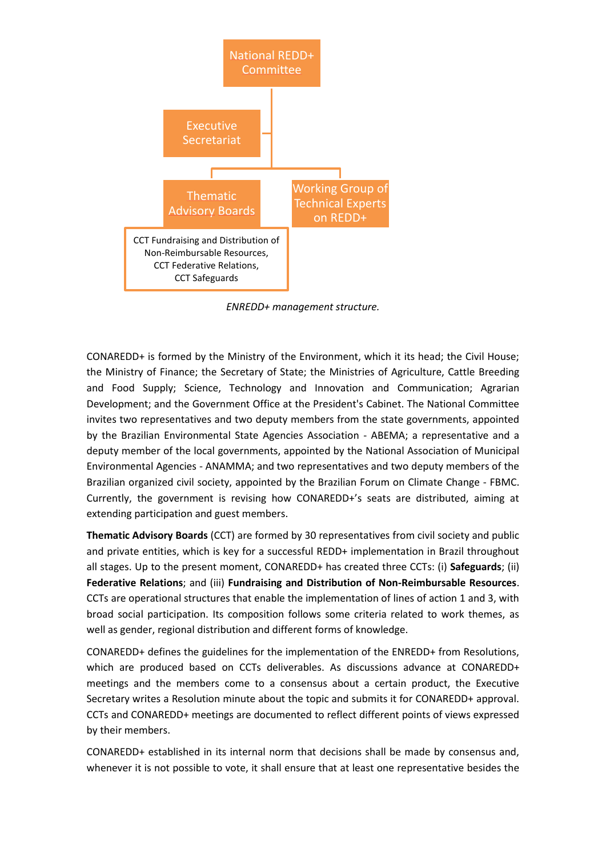

*ENREDD+ management structure.*

CONAREDD+ is formed by the Ministry of the Environment, which it its head; the Civil House; the Ministry of Finance; the Secretary of State; the Ministries of Agriculture, Cattle Breeding and Food Supply; Science, Technology and Innovation and Communication; Agrarian Development; and the Government Office at the President's Cabinet. The National Committee invites two representatives and two deputy members from the state governments, appointed by the Brazilian Environmental State Agencies Association - ABEMA; a representative and a deputy member of the local governments, appointed by the National Association of Municipal Environmental Agencies - ANAMMA; and two representatives and two deputy members of the Brazilian organized civil society, appointed by the Brazilian Forum on Climate Change - FBMC. Currently, the government is revising how CONAREDD+'s seats are distributed, aiming at extending participation and guest members.

**Thematic Advisory Boards** (CCT) are formed by 30 representatives from civil society and public and private entities, which is key for a successful REDD+ implementation in Brazil throughout all stages. Up to the present moment, CONAREDD+ has created three CCTs: (i) **Safeguards**; (ii) **Federative Relations**; and (iii) **Fundraising and Distribution of Non-Reimbursable Resources**. CCTs are operational structures that enable the implementation of lines of action 1 and 3, with broad social participation. Its composition follows some criteria related to work themes, as well as gender, regional distribution and different forms of knowledge.

CONAREDD+ defines the guidelines for the implementation of the ENREDD+ from Resolutions, which are produced based on CCTs deliverables. As discussions advance at CONAREDD+ meetings and the members come to a consensus about a certain product, the Executive Secretary writes a Resolution minute about the topic and submits it for CONAREDD+ approval. CCTs and CONAREDD+ meetings are documented to reflect different points of views expressed by their members.

CONAREDD+ established in its internal norm that decisions shall be made by consensus and, whenever it is not possible to vote, it shall ensure that at least one representative besides the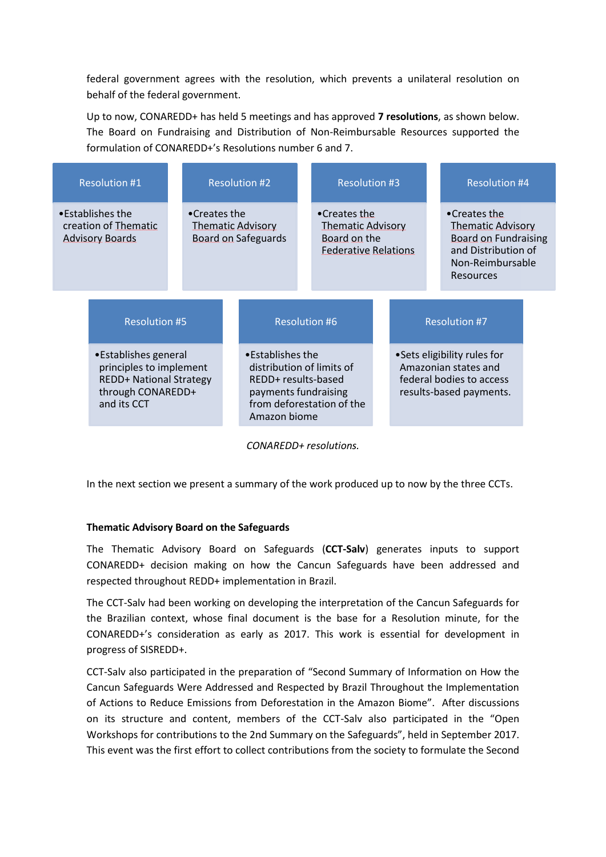federal government agrees with the resolution, which prevents a unilateral resolution on behalf of the federal government.

Up to now, CONAREDD+ has held 5 meetings and has approved **7 resolutions**, as shown below. The Board on Fundraising and Distribution of Non-Reimbursable Resources supported the formulation of CONAREDD+'s Resolutions number 6 and 7.

| <b>Resolution #1</b>                                               |                                                                                                                                                |  |                                                                        |  | <b>Resolution #2</b>                                                                                         |                      | <b>Resolution #3</b>                                                                    |  |  | <b>Resolution #4</b> |                                                                                                                                        |  |
|--------------------------------------------------------------------|------------------------------------------------------------------------------------------------------------------------------------------------|--|------------------------------------------------------------------------|--|--------------------------------------------------------------------------------------------------------------|----------------------|-----------------------------------------------------------------------------------------|--|--|----------------------|----------------------------------------------------------------------------------------------------------------------------------------|--|
| •Establishes the<br>creation of Thematic<br><b>Advisory Boards</b> |                                                                                                                                                |  | •Creates the<br><b>Thematic Advisory</b><br><b>Board on Safeguards</b> |  |                                                                                                              |                      | •Creates the<br><b>Thematic Advisory</b><br>Board on the<br><b>Federative Relations</b> |  |  |                      | •Creates the<br><b>Thematic Advisory</b><br><b>Board on Fundraising</b><br>and Distribution of<br>Non-Reimbursable<br><b>Resources</b> |  |
|                                                                    | <b>Resolution #5</b><br>• Establishes general<br>principles to implement<br><b>REDD+ National Strategy</b><br>through CONAREDD+<br>and its CCT |  |                                                                        |  |                                                                                                              | <b>Resolution #6</b> |                                                                                         |  |  |                      | <b>Resolution #7</b>                                                                                                                   |  |
|                                                                    |                                                                                                                                                |  |                                                                        |  | •Establishes the<br>distribution of limits of<br>REDD+ results-based<br>payments fundraising<br>Amazon biome |                      | from deforestation of the                                                               |  |  |                      | • Sets eligibility rules for<br>Amazonian states and<br>federal bodies to access<br>results-based payments.                            |  |

*CONAREDD+ resolutions.*

In the next section we present a summary of the work produced up to now by the three CCTs.

#### **Thematic Advisory Board on the Safeguards**

The Thematic Advisory Board on Safeguards (**CCT-Salv**) generates inputs to support CONAREDD+ decision making on how the Cancun Safeguards have been addressed and respected throughout REDD+ implementation in Brazil.

The CCT-Salv had been working on developing the interpretation of the Cancun Safeguards for the Brazilian context, whose final document is the base for a Resolution minute, for the CONAREDD+'s consideration as early as 2017. This work is essential for development in progress of SISREDD+.

CCT-Salv also participated in the preparation of "Second Summary of Information on How the Cancun Safeguards Were Addressed and Respected by Brazil Throughout the Implementation of Actions to Reduce Emissions from Deforestation in the Amazon Biome". After discussions on its structure and content, members of the CCT-Salv also participated in the "Open Workshops for contributions to the 2nd Summary on the Safeguards", held in September 2017. This event was the first effort to collect contributions from the society to formulate the Second